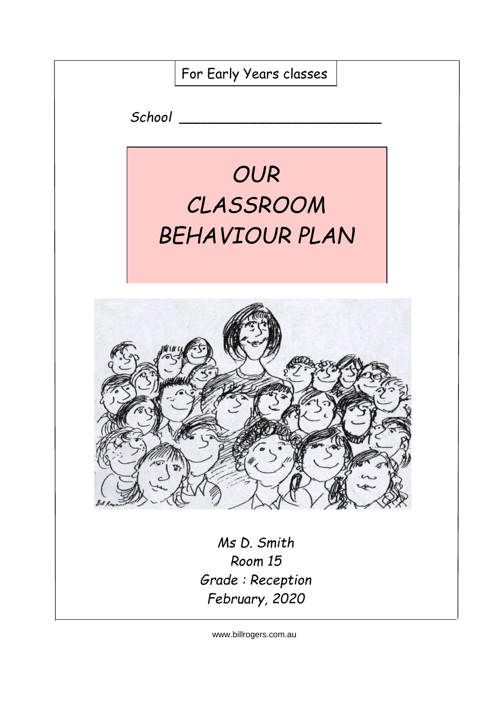

www.billrogers.com.au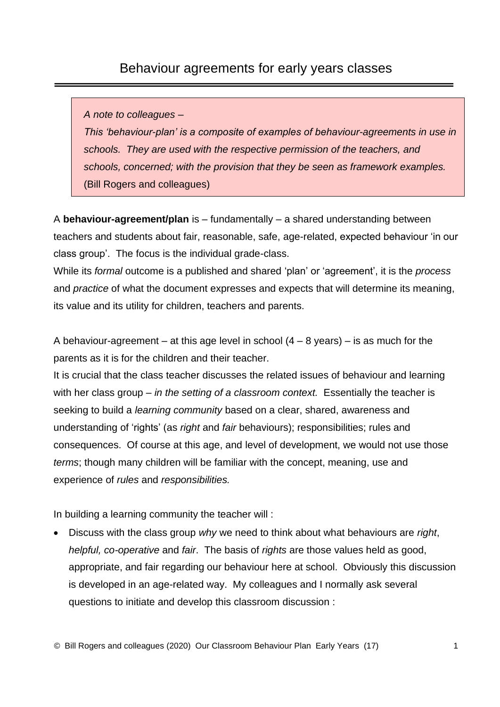#### Behaviour agreements for early years classes

*A note to colleagues –*

*This 'behaviour-plan' is a composite of examples of behaviour-agreements in use in schools. They are used with the respective permission of the teachers, and schools, concerned; with the provision that they be seen as framework examples.* (Bill Rogers and colleagues)

A **behaviour-agreement/plan** is – fundamentally – a shared understanding between teachers and students about fair, reasonable, safe, age-related, expected behaviour 'in our class group'. The focus is the individual grade-class.

While its *formal* outcome is a published and shared 'plan' or 'agreement', it is the *process* and *practice* of what the document expresses and expects that will determine its meaning, its value and its utility for children, teachers and parents.

A behaviour-agreement – at this age level in school  $(4 - 8 \text{ years})$  – is as much for the parents as it is for the children and their teacher.

It is crucial that the class teacher discusses the related issues of behaviour and learning with her class group – *in the setting of a classroom context.* Essentially the teacher is seeking to build a *learning community* based on a clear, shared, awareness and understanding of 'rights' (as *right* and *fair* behaviours); responsibilities; rules and consequences. Of course at this age, and level of development, we would not use those *terms*; though many children will be familiar with the concept, meaning, use and experience of *rules* and *responsibilities.*

In building a learning community the teacher will :

• Discuss with the class group *why* we need to think about what behaviours are *right*, *helpful, co-operative* and *fair*. The basis of *rights* are those values held as good, appropriate, and fair regarding our behaviour here at school. Obviously this discussion is developed in an age-related way. My colleagues and I normally ask several questions to initiate and develop this classroom discussion :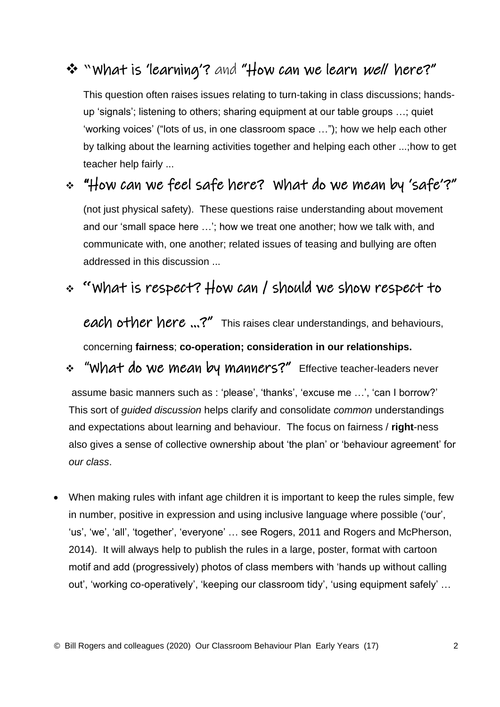# ❖ "What is 'learning'? and "How can we learn well here?"

This question often raises issues relating to turn-taking in class discussions; handsup 'signals'; listening to others; sharing equipment at our table groups …; quiet 'working voices' ("lots of us, in one classroom space …"); how we help each other by talking about the learning activities together and helping each other ...;how to get teacher help fairly ...

# ❖ "How can we feel safe here? What do we mean by 'safe'?"

(not just physical safety). These questions raise understanding about movement and our 'small space here …'; how we treat one another; how we talk with, and communicate with, one another; related issues of teasing and bullying are often addressed in this discussion ...

## ❖ **"**What is respect? How can / should we show respect to

each other here ...?" This raises clear understandings, and behaviours,

concerning **fairness**; **co-operation; consideration in our relationships.**

## ❖ "What do we mean by manners?"Effective teacher-leaders never

assume basic manners such as : 'please', 'thanks', 'excuse me …', 'can I borrow?' This sort of *guided discussion* helps clarify and consolidate *common* understandings and expectations about learning and behaviour. The focus on fairness / **right**-ness also gives a sense of collective ownership about 'the plan' or 'behaviour agreement' for *our class*.

• When making rules with infant age children it is important to keep the rules simple, few in number, positive in expression and using inclusive language where possible ('our', 'us', 'we', 'all', 'together', 'everyone' … see Rogers, 2011 and Rogers and McPherson, 2014). It will always help to publish the rules in a large, poster, format with cartoon motif and add (progressively) photos of class members with 'hands up without calling out', 'working co-operatively', 'keeping our classroom tidy', 'using equipment safely' …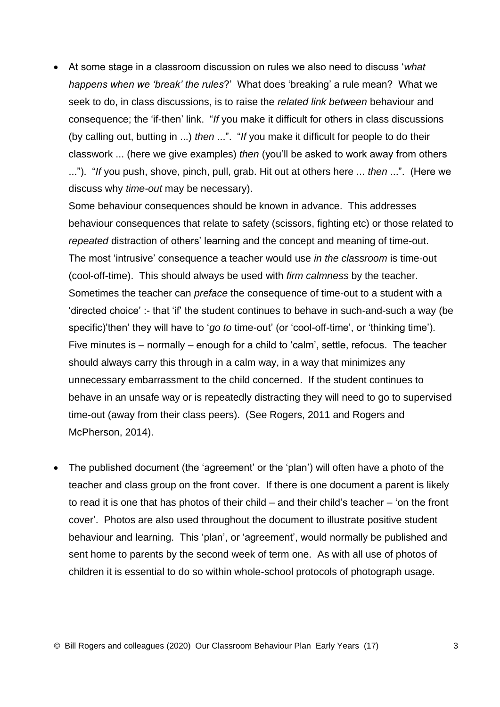• At some stage in a classroom discussion on rules we also need to discuss '*what happens when we 'break' the rules*?' What does 'breaking' a rule mean? What we seek to do, in class discussions, is to raise the *related link between* behaviour and consequence; the 'if-then' link. "*If* you make it difficult for others in class discussions (by calling out, butting in ...) *then* ...". "*If* you make it difficult for people to do their classwork ... (here we give examples) *then* (you'll be asked to work away from others ..."). "*If* you push, shove, pinch, pull, grab. Hit out at others here ... *then* ...". (Here we discuss why *time-out* may be necessary).

Some behaviour consequences should be known in advance. This addresses behaviour consequences that relate to safety (scissors, fighting etc) or those related to *repeated* distraction of others' learning and the concept and meaning of time-out. The most 'intrusive' consequence a teacher would use *in the classroom* is time-out (cool-off-time). This should always be used with *firm calmness* by the teacher. Sometimes the teacher can *preface* the consequence of time-out to a student with a 'directed choice' :- that 'if' the student continues to behave in such-and-such a way (be specific)'then' they will have to '*go to* time-out' (or 'cool-off-time', or 'thinking time'). Five minutes is – normally – enough for a child to 'calm', settle, refocus. The teacher should always carry this through in a calm way, in a way that minimizes any unnecessary embarrassment to the child concerned. If the student continues to behave in an unsafe way or is repeatedly distracting they will need to go to supervised time-out (away from their class peers). (See Rogers, 2011 and Rogers and McPherson, 2014).

• The published document (the 'agreement' or the 'plan') will often have a photo of the teacher and class group on the front cover. If there is one document a parent is likely to read it is one that has photos of their child – and their child's teacher – 'on the front cover'. Photos are also used throughout the document to illustrate positive student behaviour and learning. This 'plan', or 'agreement', would normally be published and sent home to parents by the second week of term one. As with all use of photos of children it is essential to do so within whole-school protocols of photograph usage.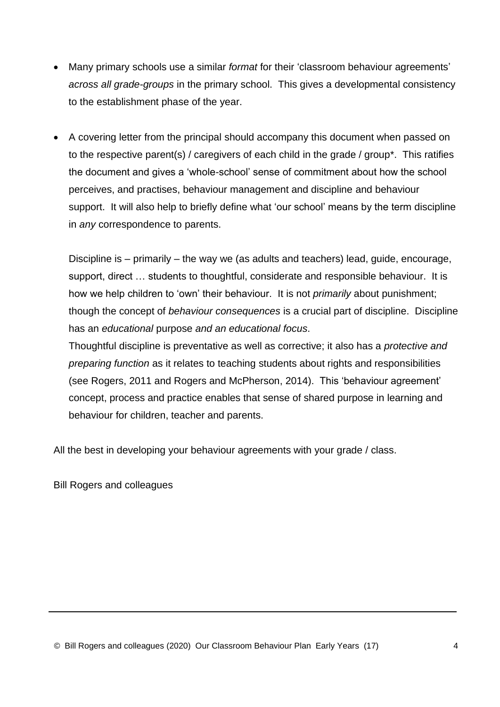- Many primary schools use a similar *format* for their 'classroom behaviour agreements' *across all grade-groups* in the primary school. This gives a developmental consistency to the establishment phase of the year.
- A covering letter from the principal should accompany this document when passed on to the respective parent(s) / caregivers of each child in the grade / group\*. This ratifies the document and gives a 'whole-school' sense of commitment about how the school perceives, and practises, behaviour management and discipline and behaviour support. It will also help to briefly define what 'our school' means by the term discipline in *any* correspondence to parents.

Discipline is – primarily – the way we (as adults and teachers) lead, guide, encourage, support, direct … students to thoughtful, considerate and responsible behaviour. It is how we help children to 'own' their behaviour. It is not *primarily* about punishment; though the concept of *behaviour consequences* is a crucial part of discipline. Discipline has an *educational* purpose *and an educational focus*.

Thoughtful discipline is preventative as well as corrective; it also has a *protective and preparing function* as it relates to teaching students about rights and responsibilities (see Rogers, 2011 and Rogers and McPherson, 2014). This 'behaviour agreement' concept, process and practice enables that sense of shared purpose in learning and behaviour for children, teacher and parents.

All the best in developing your behaviour agreements with your grade / class.

Bill Rogers and colleagues